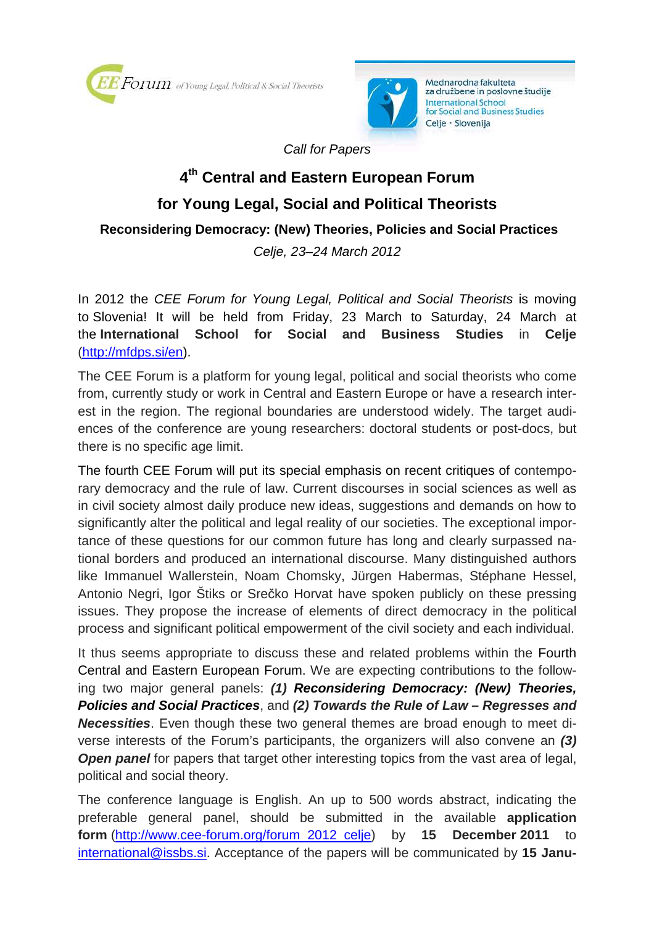



Mednarodna fakulteta za družbene in poslovne študije **International School** for Social and Business Studies Celje · Slovenija

Call for Papers

## **4 th Central and Eastern European Forum for Young Legal, Social and Political Theorists Reconsidering Democracy: (New) Theories, Policies and Social Practices**

Celje, 23–24 March 2012

In 2012 the CEE Forum for Young Legal, Political and Social Theorists is moving to Slovenia! It will be held from Friday, 23 March to Saturday, 24 March at the **International School for Social and Business Studies** in **Celje**  (http://mfdps.si/en).

The CEE Forum is a platform for young legal, political and social theorists who come from, currently study or work in Central and Eastern Europe or have a research interest in the region. The regional boundaries are understood widely. The target audiences of the conference are young researchers: doctoral students or post-docs, but there is no specific age limit.

The fourth CEE Forum will put its special emphasis on recent critiques of contemporary democracy and the rule of law. Current discourses in social sciences as well as in civil society almost daily produce new ideas, suggestions and demands on how to significantly alter the political and legal reality of our societies. The exceptional importance of these questions for our common future has long and clearly surpassed national borders and produced an international discourse. Many distinguished authors like Immanuel Wallerstein, Noam Chomsky, Jürgen Habermas, Stéphane Hessel, Antonio Negri, Igor Štiks or Srečko Horvat have spoken publicly on these pressing issues. They propose the increase of elements of direct democracy in the political process and significant political empowerment of the civil society and each individual.

It thus seems appropriate to discuss these and related problems within the Fourth Central and Eastern European Forum. We are expecting contributions to the following two major general panels: **(1) Reconsidering Democracy: (New) Theories, Policies and Social Practices**, and **(2) Towards the Rule of Law – Regresses and Necessities**. Even though these two general themes are broad enough to meet diverse interests of the Forum's participants, the organizers will also convene an **(3) Open panel** for papers that target other interesting topics from the vast area of legal, political and social theory.

The conference language is English. An up to 500 words abstract, indicating the preferable general panel, should be submitted in the available **application form** (http://www.cee-forum.org/forum\_2012\_celje) by **15 December 2011** international@issbs.si. Acceptance of the papers will be communicated by **15 Janu-**